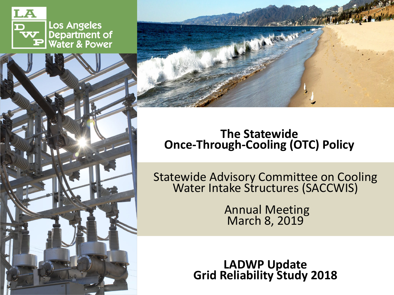

Los Angeles Department of<br>Water & Power





### **The Statewide Once-Through-Cooling (OTC) Policy**

Statewide Advisory Committee on Cooling Water Intake Structures (SACCWIS)

Annual Meeting March 8, 2019

**LADWP Update Grid Reliability Study 2018**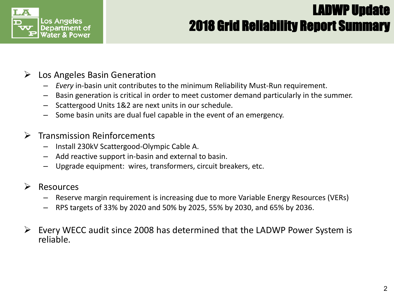

# LADWP Update 2018 Grid Reliability Report Summary

#### $\triangleright$  Los Angeles Basin Generation

- *Every* in-basin unit contributes to the minimum Reliability Must-Run requirement.
- Basin generation is critical in order to meet customer demand particularly in the summer.
- Scattergood Units 1&2 are next units in our schedule.
- Some basin units are dual fuel capable in the event of an emergency.

#### $\triangleright$  Transmission Reinforcements

- **COOLERENE A COOLERENE A COOLERENE A COOL** – Install 230kV Scattergood-Olympic Cable A.
- Install 230kV Scattergood-Olympic Cable A.<br>— Add reactive support in-basin and external to basin.
	- Upgrade equipment: wires, transformers, circuit breakers, etc.

#### $\triangleright$  Resources

- Statewide Advisory Committee on Cooling Water Intake Structures (SACCWIS) – Reserve margin requirement is increasing due to more Variable Energy Resources (VERs)
- RPS targets of 33% by 2020 and 50% by 2025, 55% by 2030, and 65% by 2036.
- $\overline{a}$  $\triangleright$  Every WECC audit since 2008 has determined that the LADWP Power System is reliable.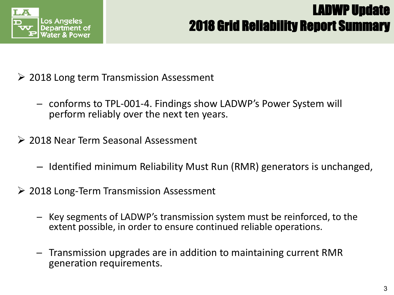

# LADWP Update 2018 Grid Reliability Report Summary

- $\geq$  2018 Long term Transmission Assessment
	- ─ conforms to TPL-001-4. Findings show LADWP's Power System will perform reliably over the next ten years.
- **Once-Through-Cooling (OTC) Policy** Policy Policy Policy Policy Policy Policy Policy Policy Policy Policy Policy Policy Policy Policy Policy Policy Policy Policy Policy Policy Policy Policy Policy Policy Policy Policy Poli 2018 Near Term Seasonal Assessment
	- Identified minimum Reliability Must Run (RMR) generators is unchanged,
- statewide Advisory Committee on Committee on Cooling Water International Cooling Water International Cooling W<br>State Structures (SACCWIS) Structures (SACCWIS) Structures (SACCWIS) Structures (SACCWIS) Structures (SACCWIS<br>T 2018 Long-Term Transmission Assessment
	- $\frac{1}{2}$ April 18, 2016 - Key segments of LADWP's transmission system must be reinforced, to the<br>April 18, 2016 in order to ensure continued reliable operations extent possible, in order to ensure continued reliable operations.
	- ─ Transmission upgrades are in addition to maintaining current RMR generation requirements.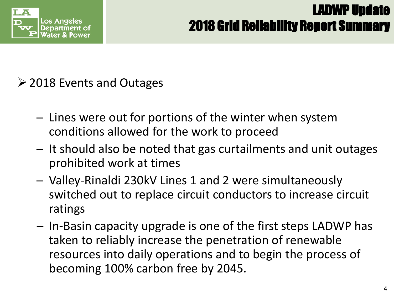

# LADWP Update 2018 Grid Reliability Report Summary

2018 Events and Outages

- **The Statewide** conditions allowed for the work to proceed ─ Lines were out for portions of the winter when system
- $I = It$  should a **Once-Through-Cooling (OTC) Policy** ─ It should also be noted that gas curtailments and unit outages prohibited work at times
- Valley-Rinaldi 230kV Lines 1 and 2 were simultaneously<br>Switched out to replace simult conductors to increase simult switched out to replace circuit conductors to increase circuit ratings
- $\mathsf{a}$  first sten becoming 100% carbon free by 2045. ─ In-Basin capacity upgrade is one of the first steps LADWP has taken to reliably increase the penetration of renewable resources into daily operations and to begin the process of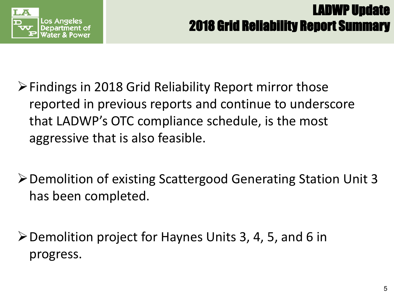

- Insert Picture **Once-Through-Cooling (OTC) Policy**  $\triangleright$  Findings in 2018 Grid Reliability Report mirror those reported in previous reports and continue to underscore that LADWP's OTC compliance schedule, is the most aggressive that is also feasible.
- > Demolition of existing Scattergood Generating Station Unit 3 has been completed.
- Demolition project for Haynes Units 3, 4, 5, and 6 in progress.